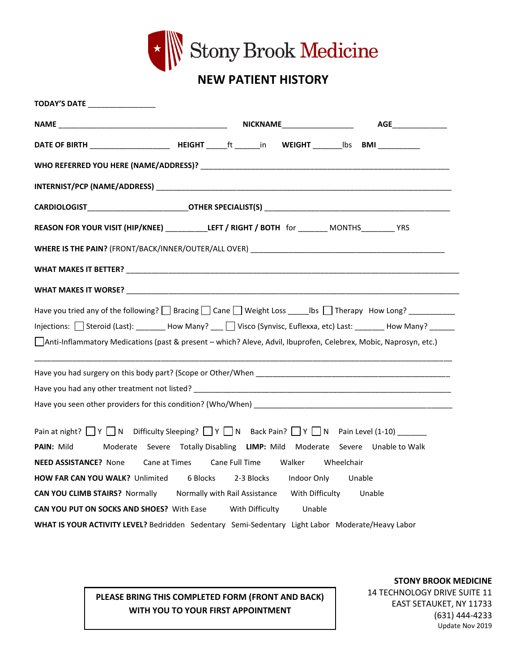

## **NEW PATIENT HISTORY**

| TODAY'S DATE ________________                    |                                                                                                                  |
|--------------------------------------------------|------------------------------------------------------------------------------------------------------------------|
|                                                  |                                                                                                                  |
|                                                  |                                                                                                                  |
|                                                  |                                                                                                                  |
|                                                  |                                                                                                                  |
|                                                  |                                                                                                                  |
|                                                  | REASON FOR YOUR VISIT (HIP/KNEE) ___________LEFT / RIGHT / BOTH for _______ MONTHS_________ YRS                  |
|                                                  |                                                                                                                  |
|                                                  |                                                                                                                  |
|                                                  |                                                                                                                  |
|                                                  | Have you tried any of the following? Bracing Cane Weight Loss _____ lbs Therapy How Long? __________             |
|                                                  | Injections: Steroid (Last): _______ How Many? __ D Visco (Synvisc, Euflexxa, etc) Last: _______ How Many? _____  |
|                                                  | Anti-Inflammatory Medications (past & present - which? Aleve, Advil, Ibuprofen, Celebrex, Mobic, Naprosyn, etc.) |
|                                                  |                                                                                                                  |
|                                                  |                                                                                                                  |
|                                                  |                                                                                                                  |
|                                                  | Pain at night? $\Box Y \Box N$ Difficulty Sleeping? $\Box Y \Box N$ Back Pain? $\Box Y \Box N$ Pain Level (1-10) |
| <b>PAIN: Mild</b>                                | Moderate Severe Totally Disabling LIMP: Mild Moderate Severe Unable to Walk                                      |
|                                                  | NEED ASSISTANCE? None Cane at Times Cane Full Time Walker Wheelchair                                             |
|                                                  | HOW FAR CAN YOU WALK? Unlimited 6 Blocks 2-3 Blocks Indoor Only Unable                                           |
|                                                  | <b>CAN YOU CLIMB STAIRS?</b> Normally Mormally with Rail Assistance With Difficulty<br>Unable                    |
| <b>CAN YOU PUT ON SOCKS AND SHOES?</b> With Ease | With Difficulty<br>Unable                                                                                        |
|                                                  | WHAT IS YOUR ACTIVITY LEVEL? Bedridden Sedentary Semi-Sedentary Light Labor Moderate/Heavy Labor                 |

## **PLEASE BRING THIS COMPLETED FORM (FRONT AND BACK) WITH YOU TO YOUR FIRST APPOINTMENT**

**STONY BROOK MEDICINE** 14 TECHNOLOGY DRIVE SUITE 11 EAST SETAUKET, NY 11733 (631) 444-4233 Update Nov 2019